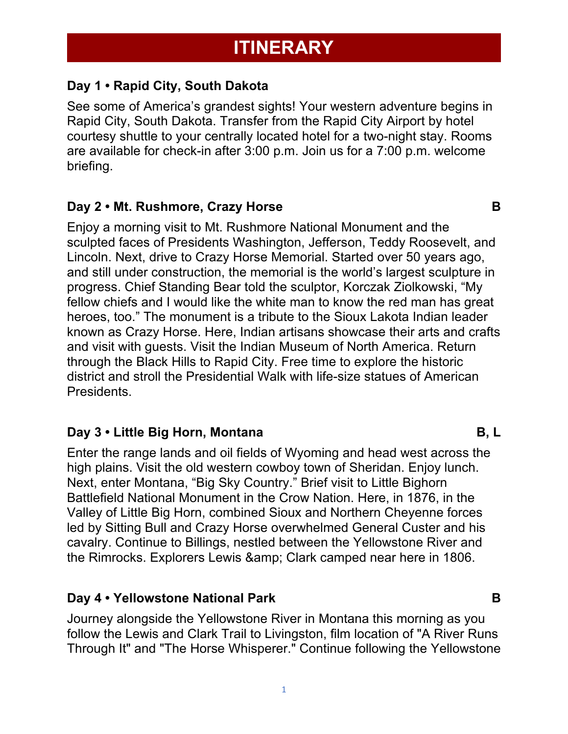# **Day 1 • Rapid City, South Dakota**

See some of America's grandest sights! Your western adventure begins in Rapid City, South Dakota. Transfer from the Rapid City Airport by hotel courtesy shuttle to your centrally located hotel for a two-night stay. Rooms are available for check-in after 3:00 p.m. Join us for a 7:00 p.m. welcome briefing.

## **Day 2 • Mt. Rushmore, Crazy Horse B**

Enjoy a morning visit to Mt. Rushmore National Monument and the sculpted faces of Presidents Washington, Jefferson, Teddy Roosevelt, and Lincoln. Next, drive to Crazy Horse Memorial. Started over 50 years ago, and still under construction, the memorial is the world's largest sculpture in progress. Chief Standing Bear told the sculptor, Korczak Ziolkowski, "My fellow chiefs and I would like the white man to know the red man has great heroes, too." The monument is a tribute to the Sioux Lakota Indian leader known as Crazy Horse. Here, Indian artisans showcase their arts and crafts and visit with guests. Visit the Indian Museum of North America. Return through the Black Hills to Rapid City. Free time to explore the historic district and stroll the Presidential Walk with life-size statues of American Presidents.

## **Day 3 • Little Big Horn, Montana B, L**

Enter the range lands and oil fields of Wyoming and head west across the high plains. Visit the old western cowboy town of Sheridan. Enjoy lunch. Next, enter Montana, "Big Sky Country." Brief visit to Little Bighorn Battlefield National Monument in the Crow Nation. Here, in 1876, in the Valley of Little Big Horn, combined Sioux and Northern Cheyenne forces led by Sitting Bull and Crazy Horse overwhelmed General Custer and his cavalry. Continue to Billings, nestled between the Yellowstone River and the Rimrocks. Explorers Lewis & amp; Clark camped near here in 1806.

## **Day 4 • Yellowstone National Park B**

Journey alongside the Yellowstone River in Montana this morning as you follow the Lewis and Clark Trail to Livingston, film location of "A River Runs Through It" and "The Horse Whisperer." Continue following the Yellowstone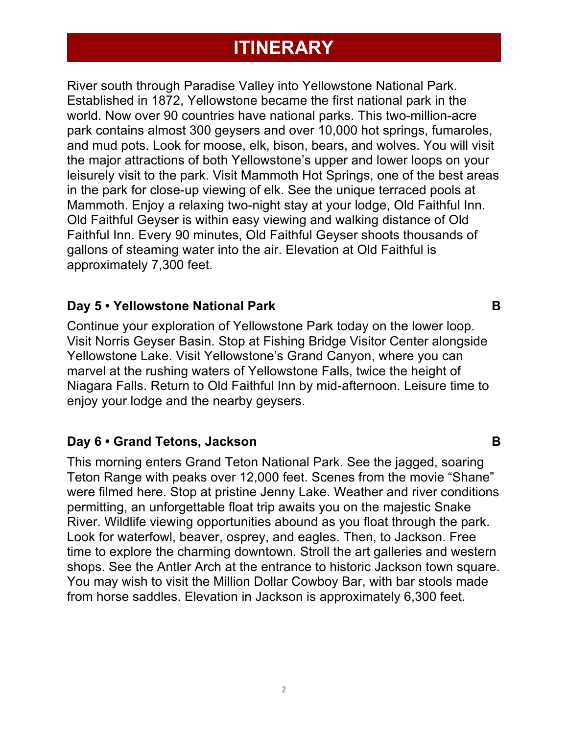# **ITINERARY**

River south through Paradise Valley into Yellowstone National Park. Established in 1872, Yellowstone became the first national park in the world. Now over 90 countries have national parks. This two-million-acre park contains almost 300 geysers and over 10,000 hot springs, fumaroles, and mud pots. Look for moose, elk, bison, bears, and wolves. You will visit the major attractions of both Yellowstone's upper and lower loops on your leisurely visit to the park. Visit Mammoth Hot Springs, one of the best areas in the park for close-up viewing of elk. See the unique terraced pools at Mammoth. Enjoy a relaxing two-night stay at your lodge, Old Faithful Inn. Old Faithful Geyser is within easy viewing and walking distance of Old Faithful Inn. Every 90 minutes, Old Faithful Geyser shoots thousands of gallons of steaming water into the air. Elevation at Old Faithful is approximately 7,300 feet.

## **Day 5 • Yellowstone National Park B**

Continue your exploration of Yellowstone Park today on the lower loop. Visit Norris Geyser Basin. Stop at Fishing Bridge Visitor Center alongside Yellowstone Lake. Visit Yellowstone's Grand Canyon, where you can marvel at the rushing waters of Yellowstone Falls, twice the height of Niagara Falls. Return to Old Faithful Inn by mid-afternoon. Leisure time to enjoy your lodge and the nearby geysers.

## **Day 6 • Grand Tetons, Jackson B**

This morning enters Grand Teton National Park. See the jagged, soaring Teton Range with peaks over 12,000 feet. Scenes from the movie "Shane" were filmed here. Stop at pristine Jenny Lake. Weather and river conditions permitting, an unforgettable float trip awaits you on the majestic Snake River. Wildlife viewing opportunities abound as you float through the park. Look for waterfowl, beaver, osprey, and eagles. Then, to Jackson. Free time to explore the charming downtown. Stroll the art galleries and western shops. See the Antler Arch at the entrance to historic Jackson town square. You may wish to visit the Million Dollar Cowboy Bar, with bar stools made from horse saddles. Elevation in Jackson is approximately 6,300 feet.